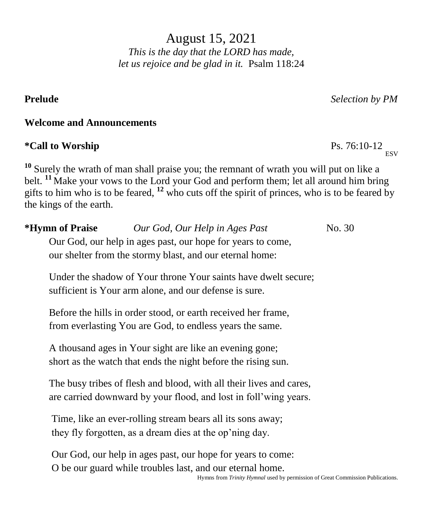August 15, 2021 *This is the day that the LORD has made, let us rejoice and be glad in it.* Psalm 118:24

## **Welcome and Announcements**

## **\*Call to Worship** Ps. 76:10-12

**10** Surely the wrath of man shall praise you; the remnant of wrath you will put on like a belt. **<sup>11</sup>** Make your vows to the Lord your God and perform them; let all around him bring gifts to him who is to be feared, **<sup>12</sup>** who cuts off the spirit of princes, who is to be feared by the kings of the earth.

| *Hymn of Praise | Our God, Our Help in Ages Past                              | No. 30 |
|-----------------|-------------------------------------------------------------|--------|
|                 | Our God, our help in ages past, our hope for years to come, |        |
|                 | our shelter from the stormy blast, and our eternal home:    |        |

Under the shadow of Your throne Your saints have dwelt secure; sufficient is Your arm alone, and our defense is sure.

Before the hills in order stood, or earth received her frame, from everlasting You are God, to endless years the same.

A thousand ages in Your sight are like an evening gone; short as the watch that ends the night before the rising sun.

The busy tribes of flesh and blood, with all their lives and cares, are carried downward by your flood, and lost in foll'wing years.

Time, like an ever-rolling stream bears all its sons away; they fly forgotten, as a dream dies at the op'ning day.

Our God, our help in ages past, our hope for years to come: O be our guard while troubles last, and our eternal home.

Hymns from *Trinity Hymnal* used by permission of Great Commission Publications.

**Prelude** *Selection by PM*

**ESV**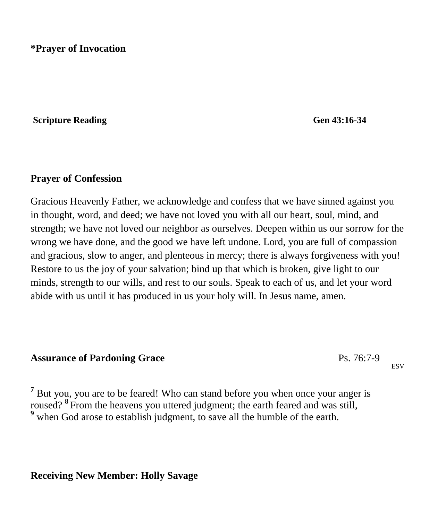**\*Prayer of Invocation** 

**Scripture Reading Gen 43:16-34** 

#### **Prayer of Confession**

Gracious Heavenly Father, we acknowledge and confess that we have sinned against you in thought, word, and deed; we have not loved you with all our heart, soul, mind, and strength; we have not loved our neighbor as ourselves. Deepen within us our sorrow for the wrong we have done, and the good we have left undone. Lord, you are full of compassion and gracious, slow to anger, and plenteous in mercy; there is always forgiveness with you! Restore to us the joy of your salvation; bind up that which is broken, give light to our minds, strength to our wills, and rest to our souls. Speak to each of us, and let your word abide with us until it has produced in us your holy will. In Jesus name, amen.

### Assurance of Pardoning Grace **Ps. 76:7-9**

**<sup>7</sup>** But you, you are to be feared! Who can stand before you when once your anger is roused? **<sup>8</sup>** From the heavens you uttered judgment; the earth feared and was still, **<sup>9</sup>** when God arose to establish judgment, to save all the humble of the earth.

**Receiving New Member: Holly Savage**

**ESV**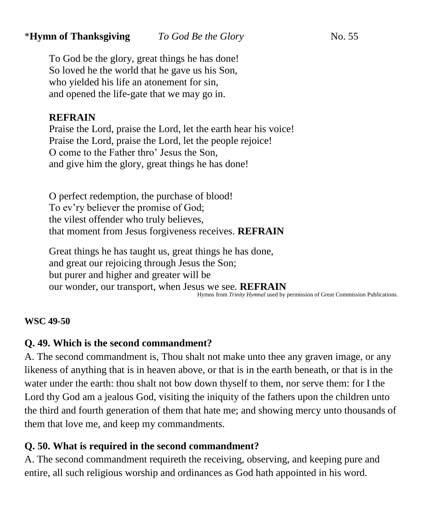## \***Hymn of Thanksgiving** *To God Be the Glory* No. 55

To God be the glory, great things he has done! So loved he the world that he gave us his Son, who yielded his life an atonement for sin, and opened the life-gate that we may go in.

## **REFRAIN**

Praise the Lord, praise the Lord, let the earth hear his voice! Praise the Lord, praise the Lord, let the people rejoice! O come to the Father thro' Jesus the Son, and give him the glory, great things he has done!

O perfect redemption, the purchase of blood! To ev'ry believer the promise of God; the vilest offender who truly believes, that moment from Jesus forgiveness receives. **REFRAIN**

Great things he has taught us, great things he has done, and great our rejoicing through Jesus the Son; but purer and higher and greater will be our wonder, our transport, when Jesus we see. **REFRAIN** Hymns from *Trinity Hymnal* used by permission of Great Commission Publications.

### **WSC 49-50**

## **Q. 49. Which is the second commandment?**

A. The second commandment is, Thou shalt not make unto thee any graven image, or any likeness of anything that is in heaven above, or that is in the earth beneath, or that is in the water under the earth: thou shalt not bow down thyself to them, nor serve them: for I the Lord thy God am a jealous God, visiting the iniquity of the fathers upon the children unto the third and fourth generation of them that hate me; and showing mercy unto thousands of them that love me, and keep my commandments.

## **Q. 50. What is required in the second commandment?**

A. The second commandment requireth the receiving, observing, and keeping pure and entire, all such religious worship and ordinances as God hath appointed in his word.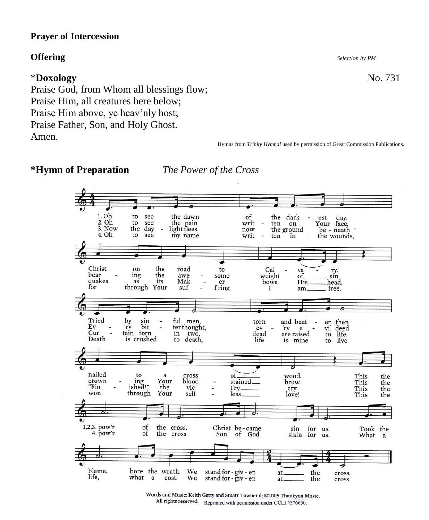#### **Prayer of Intercession**

#### **Offering** *Selection by PM*

## \***Doxology** No. 731

Praise God, from Whom all blessings flow; Praise Him, all creatures here below; Praise Him above, ye heav'nly host; Praise Father, Son, and Holy Ghost. Amen.

Hymns from *Trinity Hymnal* used by permission of Great Commission Publications.

## **\*Hymn of Preparation** *The Power of the Cross*



Words and Music: Keith Getty and Stuart Townend; ©2005 Thankyou Music. All rights reserved. Reprinted with permission under CCLI #376630.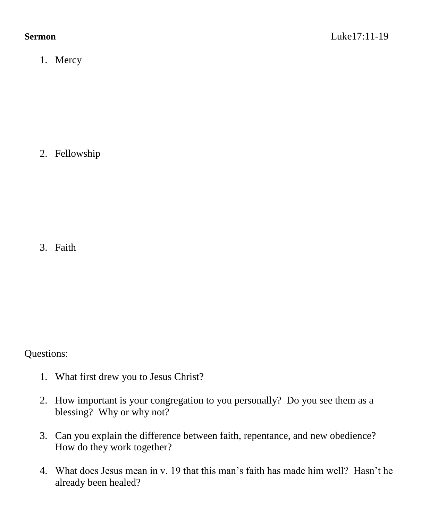1. Mercy

2. Fellowship

3. Faith

Questions:

- 1. What first drew you to Jesus Christ?
- 2. How important is your congregation to you personally? Do you see them as a blessing? Why or why not?
- 3. Can you explain the difference between faith, repentance, and new obedience? How do they work together?
- 4. What does Jesus mean in v. 19 that this man's faith has made him well? Hasn't he already been healed?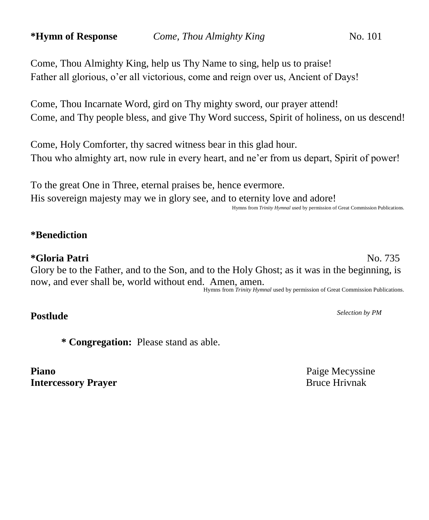**\*Hymn of Response** *Come, Thou Almighty King* **No. 101** 

Come, Thou Almighty King, help us Thy Name to sing, help us to praise! Father all glorious, o'er all victorious, come and reign over us, Ancient of Days!

Come, Thou Incarnate Word, gird on Thy mighty sword, our prayer attend! Come, and Thy people bless, and give Thy Word success, Spirit of holiness, on us descend!

Come, Holy Comforter, thy sacred witness bear in this glad hour. Thou who almighty art, now rule in every heart, and ne'er from us depart, Spirit of power!

To the great One in Three, eternal praises be, hence evermore. His sovereign majesty may we in glory see, and to eternity love and adore!

Hymns from *Trinity Hymnal* used by permission of Great Commission Publications.

### **\*Benediction**

**\*Gloria Patri** No. 735

Glory be to the Father, and to the Son, and to the Holy Ghost; as it was in the beginning, is now, and ever shall be, world without end. Amen, amen.

Hymns from *Trinity Hymnal* used by permission of Great Commission Publications.

## **Postlude** *Selection by PM*

**\* Congregation:** Please stand as able.

Piano Paige Mecyssine **Intercessory Prayer** Bruce Hrivnak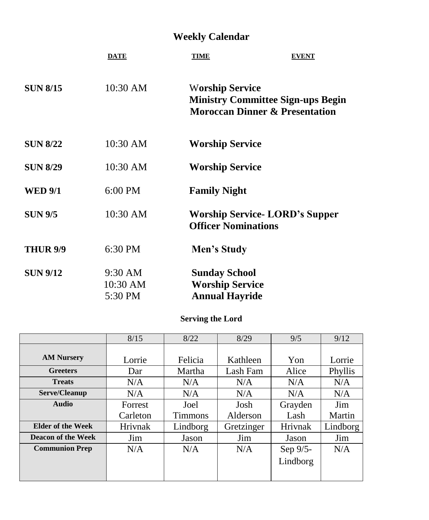# **Weekly Calendar**

|                 | <b>DATE</b>                    | TIME                                                                    | <b>EVENT</b>                                                                          |
|-----------------|--------------------------------|-------------------------------------------------------------------------|---------------------------------------------------------------------------------------|
| <b>SUN 8/15</b> | 10:30 AM                       | <b>Worship Service</b>                                                  | <b>Ministry Committee Sign-ups Begin</b><br><b>Moroccan Dinner &amp; Presentation</b> |
| <b>SUN 8/22</b> | 10:30 AM                       | <b>Worship Service</b>                                                  |                                                                                       |
| <b>SUN 8/29</b> | 10:30 AM                       | <b>Worship Service</b>                                                  |                                                                                       |
| <b>WED 9/1</b>  | 6:00 PM                        | <b>Family Night</b>                                                     |                                                                                       |
| <b>SUN 9/5</b>  | 10:30 AM                       | <b>Officer Nominations</b>                                              | <b>Worship Service- LORD's Supper</b>                                                 |
| <b>THUR 9/9</b> | 6:30 PM                        | Men's Study                                                             |                                                                                       |
| <b>SUN 9/12</b> | 9:30 AM<br>10:30 AM<br>5:30 PM | <b>Sunday School</b><br><b>Worship Service</b><br><b>Annual Hayride</b> |                                                                                       |

## **Serving the Lord**

|                           | 8/15     | 8/22           | 8/29       | 9/5      | 9/12     |
|---------------------------|----------|----------------|------------|----------|----------|
|                           |          |                |            |          |          |
| <b>AM Nursery</b>         | Lorrie   | Felicia        | Kathleen   | Yon      | Lorrie   |
| <b>Greeters</b>           | Dar      | Martha         | Lash Fam   | Alice    | Phyllis  |
| <b>Treats</b>             | N/A      | N/A            | N/A        | N/A      | N/A      |
| Serve/Cleanup             | N/A      | N/A            | N/A        | N/A      | N/A      |
| <b>Audio</b>              | Forrest  | Joel           | Josh       | Grayden  | Jim      |
|                           | Carleton | <b>Timmons</b> | Alderson   | Lash     | Martin   |
| <b>Elder of the Week</b>  | Hrivnak  | Lindborg       | Gretzinger | Hrivnak  | Lindborg |
| <b>Deacon of the Week</b> | Jim      | Jason          | Jim        | Jason    | Jim      |
| <b>Communion Prep</b>     | N/A      | N/A            | N/A        | Sep 9/5- | N/A      |
|                           |          |                |            | Lindborg |          |
|                           |          |                |            |          |          |